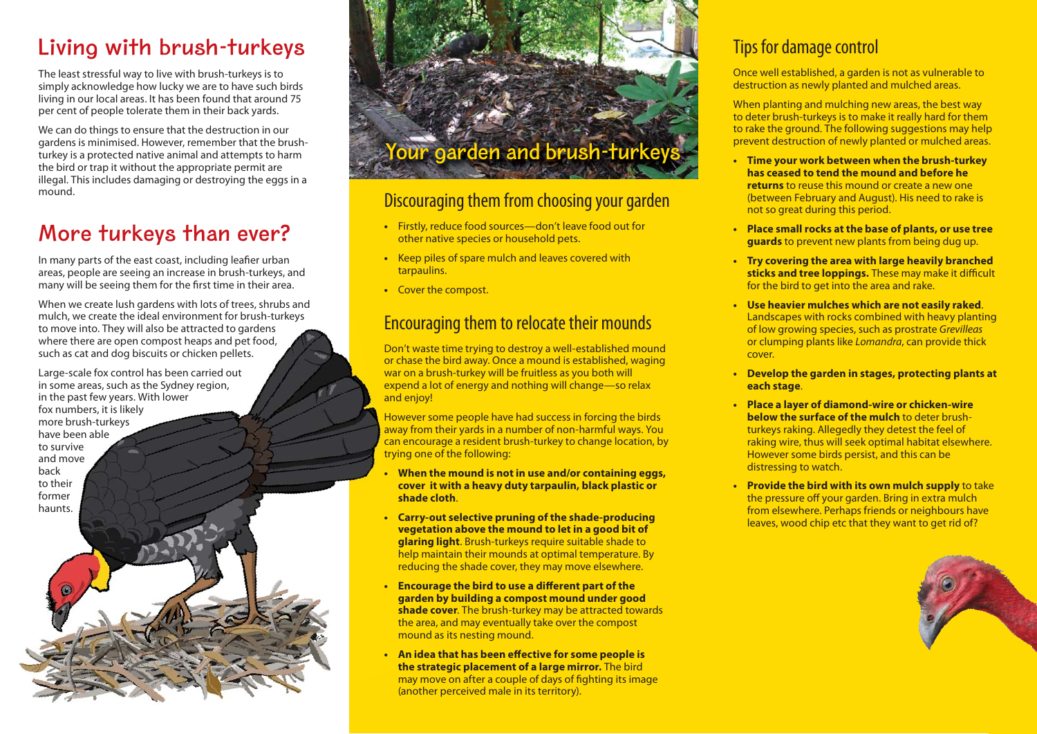# **Living with brush-turkeys**

The least stressful way to live with brush-turkeys is to simply acknowledge how lucky we are to have such birds living in our local areas. It has been found that around 75 per cent of people tolerate them in their back yards.

We can do things to ensure that the destruction in our gardens is minimised. However, remember that the brushturkey is a protected native animal and attempts to harm the bird or trap it without the appropriate permit are illegal. This includes damaging or destroying the eggs in a mound.

# **More turkeys than ever?**

In many parts of the east coast, including leafier urban areas, people are seeing an increase in brush-turkeys, and many will be seeing them for the first time in their area.

When we create lush gardens with lots of trees, shrubs and mulch, we create the ideal environment for brush-turkeys to move into. They will also be attracted to gardens where there are open compost heaps and pet food, such as cat and dog biscuits or chicken pellets.

Large-scale fox control has been carried out in some areas, such as the Sydney region, in the past few years. With lower fox numbers, it is likely more brush-turkeys have been able to survive and move back to their former haunts.

# **Your garden and brush-turke**

### Discouraging them from choosing your garden

- Firstly, reduce food sources—don't leave food out for other native species or household pets.
- Keep piles of spare mulch and leaves covered with tarpaulins.
- Cover the compost.

### Encouraging them to relocate their mounds

Don't waste time trying to destroy a well-established mound or chase the bird away. Once a mound is established, waging war on a brush-turkey will be fruitless as you both will expend a lot of energy and nothing will change—so relax and enjoy!

However some people have had success in forcing the birds away from their yards in a number of non-harmful ways. You can encourage a resident brush-turkey to change location, by trying one of the following:

- **When the mound is not in use and/or containing eggs, cover it with a heavy duty tarpaulin, black plastic or shade cloth**.
- **Carry-out selective pruning of the shade-producing vegetation above the mound to let in a good bit of glaring light**. Brush-turkeys require suitable shade to help maintain their mounds at optimal temperature. By reducing the shade cover, they may move elsewhere.
- **Encourage the bird to use a different part of the garden by building a compost mound under good shade cover**. The brush-turkey may be attracted towards the area, and may eventually take over the compost mound as its nesting mound.
- **An idea that has been effective for some people is the strategic placement of a large mirror.** The bird may move on after a couple of days of fighting its image (another perceived male in its territory).

## Tips for damage control

Once well established, a garden is not as vulnerable to destruction as newly planted and mulched areas.

When planting and mulching new areas, the best way to deter brush-turkeys is to make it really hard for them to rake the ground. The following suggestions may help prevent destruction of newly planted or mulched areas.

- **Time your work between when the brush-turkey has ceased to tend the mound and before he returns** to reuse this mound or create a new one (between February and August). His need to rake is not so great during this period.
- **Place small rocks at the base of plants, or use tree guards** to prevent new plants from being dug up.
- **Try covering the area with large heavily branched**  sticks and tree loppings. These may make it difficult for the bird to get into the area and rake.
- **Use heavier mulches which are not easily raked**. Landscapes with rocks combined with heavy planting of low growing species, such as prostrate Grevilleas or clumping plants like Lomandra, can provide thick cover.
- **Develop the garden in stages, protecting plants at each stage**.
- **Place a layer of diamond-wire or chicken-wire below the surface of the mulch** to deter brushturkeys raking. Allegedly they detest the feel of raking wire, thus will seek optimal habitat elsewhere. However some birds persist, and this can be distressing to watch.
- **Provide the bird with its own mulch supply** to take the pressure off your garden. Bring in extra mulch from elsewhere. Perhaps friends or neighbours have leaves, wood chip etc that they want to get rid of?